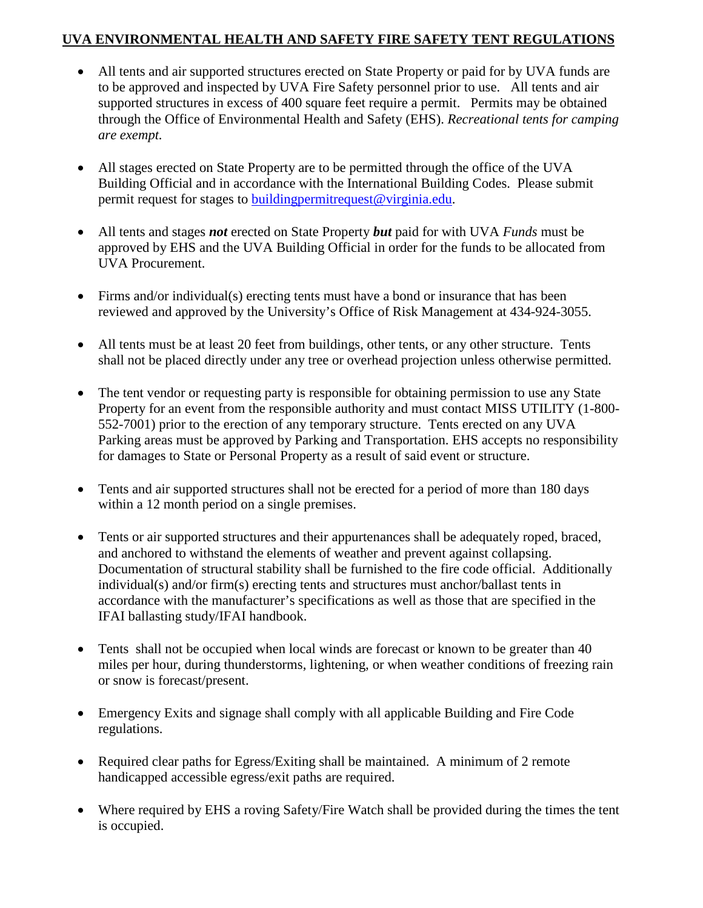## **UVA ENVIRONMENTAL HEALTH AND SAFETY FIRE SAFETY TENT REGULATIONS**

- All tents and air supported structures erected on State Property or paid for by UVA funds are to be approved and inspected by UVA Fire Safety personnel prior to use. All tents and air supported structures in excess of 400 square feet require a permit. Permits may be obtained through the Office of Environmental Health and Safety (EHS). *Recreational tents for camping are exempt.*
- All stages erected on State Property are to be permitted through the office of the UVA Building Official and in accordance with the International Building Codes. Please submit permit request for stages to [buildingpermitrequest@virginia.edu.](mailto:buildingpermitrequest@virginia.edu)
- All tents and stages *not* erected on State Property *but* paid for with UVA *Funds* must be approved by EHS and the UVA Building Official in order for the funds to be allocated from UVA Procurement.
- Firms and/or individual(s) erecting tents must have a bond or insurance that has been reviewed and approved by the University's Office of Risk Management at 434-924-3055.
- All tents must be at least 20 feet from buildings, other tents, or any other structure. Tents shall not be placed directly under any tree or overhead projection unless otherwise permitted.
- The tent vendor or requesting party is responsible for obtaining permission to use any State Property for an event from the responsible authority and must contact MISS UTILITY (1-800- 552-7001) prior to the erection of any temporary structure. Tents erected on any UVA Parking areas must be approved by Parking and Transportation. EHS accepts no responsibility for damages to State or Personal Property as a result of said event or structure.
- Tents and air supported structures shall not be erected for a period of more than 180 days within a 12 month period on a single premises.
- Tents or air supported structures and their appurtenances shall be adequately roped, braced, and anchored to withstand the elements of weather and prevent against collapsing. Documentation of structural stability shall be furnished to the fire code official. Additionally individual(s) and/or firm(s) erecting tents and structures must anchor/ballast tents in accordance with the manufacturer's specifications as well as those that are specified in the IFAI ballasting study/IFAI handbook.
- Tents shall not be occupied when local winds are forecast or known to be greater than 40 miles per hour, during thunderstorms, lightening, or when weather conditions of freezing rain or snow is forecast/present.
- Emergency Exits and signage shall comply with all applicable Building and Fire Code regulations.
- Required clear paths for Egress/Exiting shall be maintained. A minimum of 2 remote handicapped accessible egress/exit paths are required.
- Where required by EHS a roving Safety/Fire Watch shall be provided during the times the tent is occupied.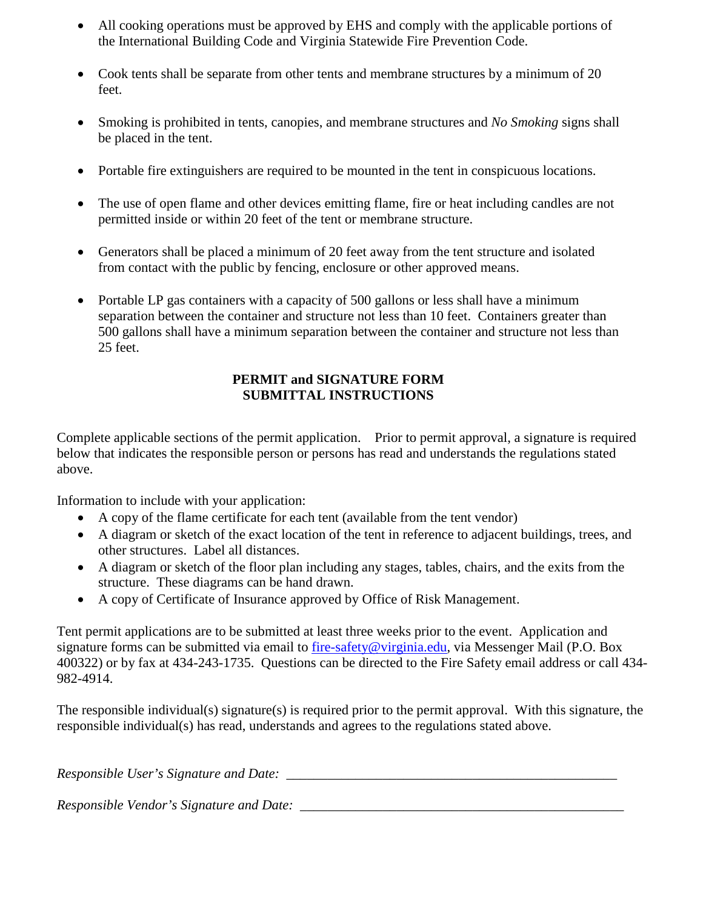- All cooking operations must be approved by EHS and comply with the applicable portions of the International Building Code and Virginia Statewide Fire Prevention Code.
- Cook tents shall be separate from other tents and membrane structures by a minimum of 20 feet.
- Smoking is prohibited in tents, canopies, and membrane structures and *No Smoking* signs shall be placed in the tent.
- Portable fire extinguishers are required to be mounted in the tent in conspicuous locations.
- The use of open flame and other devices emitting flame, fire or heat including candles are not permitted inside or within 20 feet of the tent or membrane structure.
- Generators shall be placed a minimum of 20 feet away from the tent structure and isolated from contact with the public by fencing, enclosure or other approved means.
- Portable LP gas containers with a capacity of 500 gallons or less shall have a minimum separation between the container and structure not less than 10 feet. Containers greater than 500 gallons shall have a minimum separation between the container and structure not less than 25 feet.

## **PERMIT and SIGNATURE FORM SUBMITTAL INSTRUCTIONS**

Complete applicable sections of the permit application. Prior to permit approval, a signature is required below that indicates the responsible person or persons has read and understands the regulations stated above.

Information to include with your application:

- A copy of the flame certificate for each tent (available from the tent vendor)
- A diagram or sketch of the exact location of the tent in reference to adjacent buildings, trees, and other structures. Label all distances.
- A diagram or sketch of the floor plan including any stages, tables, chairs, and the exits from the structure. These diagrams can be hand drawn.
- A copy of Certificate of Insurance approved by Office of Risk Management.

Tent permit applications are to be submitted at least three weeks prior to the event. Application and signature forms can be submitted via email to [fire-safety@virginia.edu,](mailto:fire-safety@virginia.edu) via Messenger Mail (P.O. Box 400322) or by fax at 434-243-1735. Questions can be directed to the Fire Safety email address or call 434- 982-4914.

The responsible individual(s) signature(s) is required prior to the permit approval. With this signature, the responsible individual(s) has read, understands and agrees to the regulations stated above.

*Responsible User's Signature and Date: \_\_\_\_\_\_\_\_\_\_\_\_\_\_\_\_\_\_\_\_\_\_\_\_\_\_\_\_\_\_\_\_\_\_\_\_\_\_\_\_\_\_\_\_\_\_\_\_* 

*Responsible Vendor's Signature and Date: \_\_\_\_\_\_\_\_\_\_\_\_\_\_\_\_\_\_\_\_\_\_\_\_\_\_\_\_\_\_\_\_\_\_\_\_\_\_\_\_\_\_\_\_\_\_\_*